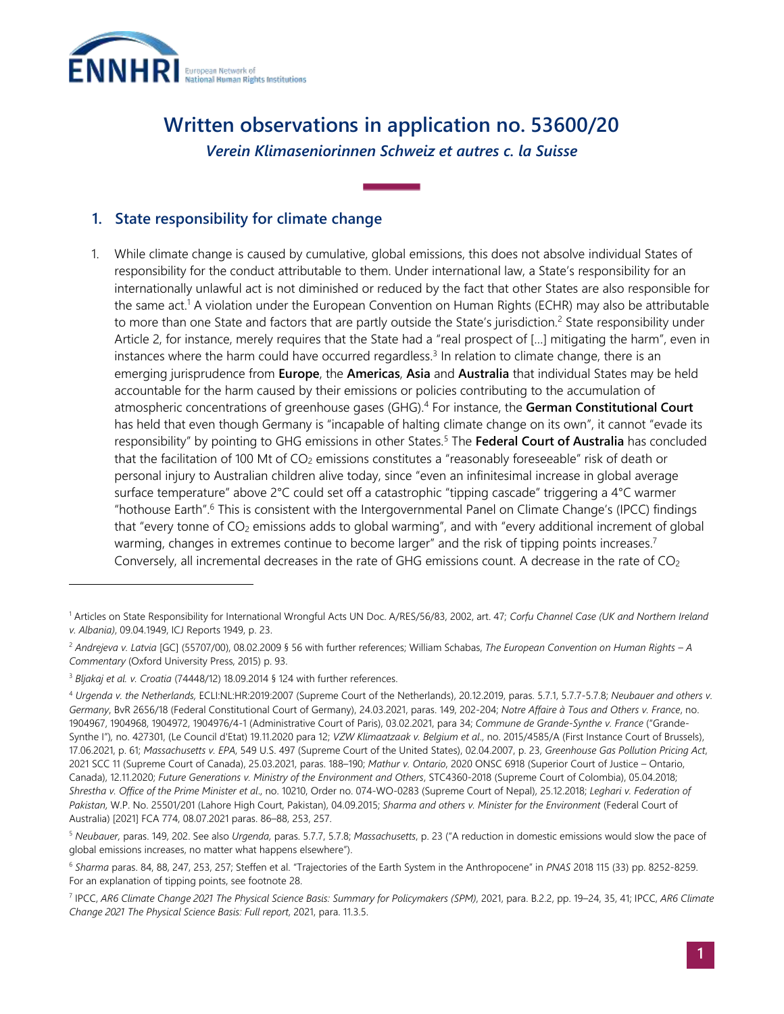

# **Written observations in application no. 53600/20** *Verein Klimaseniorinnen Schweiz et autres c. la Suisse*

## **1. State responsibility for climate change**

1. While climate change is caused by cumulative, global emissions, this does not absolve individual States of responsibility for the conduct attributable to them. Under international law, a State's responsibility for an internationally unlawful act is not diminished or reduced by the fact that other States are also responsible for the same act. <sup>1</sup> A violation under the European Convention on Human Rights (ECHR) may also be attributable to more than one State and factors that are partly outside the State's jurisdiction.<sup>2</sup> State responsibility under Article 2, for instance, merely requires that the State had a "real prospect of […] mitigating the harm", even in instances where the harm could have occurred regardless.<sup>3</sup> In relation to climate change, there is an emerging jurisprudence from **Europe**, the **Americas**, **Asia** and **Australia** that individual States may be held accountable for the harm caused by their emissions or policies contributing to the accumulation of atmospheric concentrations of greenhouse gases (GHG).<sup>4</sup> For instance, the **German Constitutional Court** has held that even though Germany is "incapable of halting climate change on its own", it cannot "evade its responsibility" by pointing to GHG emissions in other States.<sup>5</sup> The **Federal Court of Australia** has concluded that the facilitation of 100 Mt of  $CO<sub>2</sub>$  emissions constitutes a "reasonably foreseeable" risk of death or personal injury to Australian children alive today, since "even an infinitesimal increase in global average surface temperature" above 2°C could set off a catastrophic "tipping cascade" triggering a 4°C warmer "hothouse Earth".<sup>6</sup> This is consistent with the Intergovernmental Panel on Climate Change's (IPCC) findings that "every tonne of  $CO<sub>2</sub>$  emissions adds to global warming", and with "every additional increment of global warming, changes in extremes continue to become larger" and the risk of tipping points increases.<sup>7</sup> Conversely, all incremental decreases in the rate of GHG emissions count. A decrease in the rate of  $CO<sub>2</sub>$ 

<sup>1</sup> Articles on State Responsibility for International Wrongful Acts UN Doc. A/RES/56/83, 2002, art. 47; *Corfu Channel Case (UK and Northern Ireland v. Albania)*, 09.04.1949, ICJ Reports 1949, p. 23.

<sup>2</sup> *Andrejeva v. Latvia* [GC] (55707/00), 08.02.2009 § 56 with further references; William Schabas, *The European Convention on Human Rights – A Commentary* (Oxford University Press, 2015) p. 93.

<sup>3</sup> *Bljakaj et al. v. Croatia* (74448/12) 18.09.2014 § 124 with further references.

<sup>4</sup> *Urgenda v. the Netherlands,* ECLI:NL:HR:2019:2007 (Supreme Court of the Netherlands), 20.12.2019, paras. 5.7.1, 5.7.7-5.7.8; *Neubauer and others v. Germany*, BvR 2656/18 (Federal Constitutional Court of Germany), 24.03.2021, paras. 149, 202-204; *Notre Affaire à Tous and Others v. France*, no. 1904967, 1904968, 1904972, 1904976/4-1 (Administrative Court of Paris), 03.02.2021, para 34; *Commune de Grande-Synthe v. France* ("Grande-Synthe I")*,* no. 427301, (Le Council d'Etat) 19.11.2020 para 12; *VZW Klimaatzaak v. Belgium et al*., no. 2015/4585/A (First Instance Court of Brussels), 17.06.2021, p. 61; *Massachusetts v. EPA*, 549 U.S. 497 (Supreme Court of the United States), 02.04.2007, p. 23, *Greenhouse Gas Pollution Pricing Act*, 2021 SCC 11 (Supreme Court of Canada), 25.03.2021, paras. 188–190; *Mathur v. Ontario*, 2020 ONSC 6918 (Superior Court of Justice – Ontario, Canada), 12.11.2020; *Future Generations v. Ministry of the Environment and Others*, STC4360-2018 (Supreme Court of Colombia), 05.04.2018; *Shrestha v. Office of the Prime Minister et al*., no. 10210, Order no. 074-WO-0283 (Supreme Court of Nepal), 25.12.2018; *Leghari v. Federation of Pakistan,* W.P. No. 25501/201 (Lahore High Court, Pakistan), 04.09.2015; *Sharma and others v. Minister for the Environment* (Federal Court of Australia) [2021] FCA 774, 08.07.2021 paras. 86–88, 253, 257.

<sup>5</sup> *Neubauer,* paras. 149, 202. See also *Urgenda,* paras. 5.7.7, 5.7.8; *Massachusetts*, p. 23 ("A reduction in domestic emissions would slow the pace of global emissions increases, no matter what happens elsewhere").

<sup>6</sup> *Sharma* paras. 84, 88, 247, 253, 257; Steffen et al. "Trajectories of the Earth System in the Anthropocene" in *PNAS* 2018 115 (33) pp. 8252-8259. For an explanation of tipping points, see footnote 28.

<sup>7</sup> IPCC, *AR6 Climate Change 2021 The Physical Science Basis: Summary for Policymakers (SPM)*, 2021, para. B.2.2, pp. 19–24, 35, 41; IPCC, *AR6 Climate Change 2021 The Physical Science Basis: Full report*, 2021, para. 11.3.5.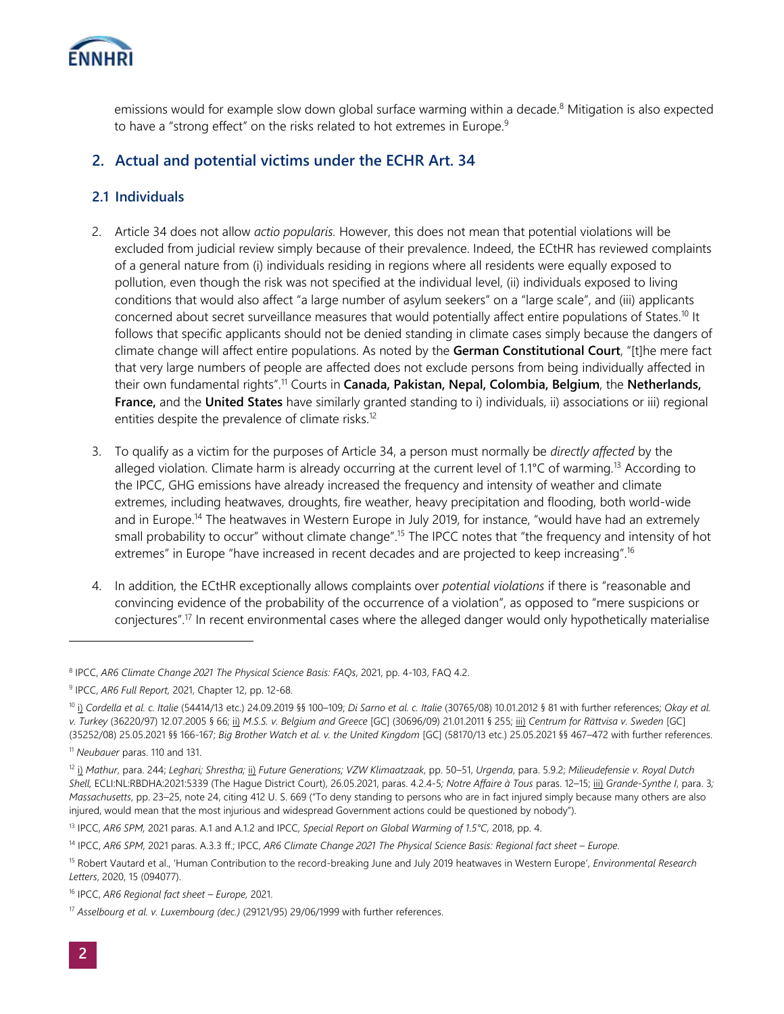

emissions would for example slow down global surface warming within a decade.<sup>8</sup> Mitigation is also expected to have a "strong effect" on the risks related to hot extremes in Europe.<sup>9</sup>

## **2. Actual and potential victims under the ECHR Art. 34**

#### **2.1 Individuals**

- 2. Article 34 does not allow *actio popularis.* However, this does not mean that potential violations will be excluded from judicial review simply because of their prevalence. Indeed, the ECtHR has reviewed complaints of a general nature from (i) individuals residing in regions where all residents were equally exposed to pollution, even though the risk was not specified at the individual level, (ii) individuals exposed to living conditions that would also affect "a large number of asylum seekers" on a "large scale", and (iii) applicants concerned about secret surveillance measures that would potentially affect entire populations of States.<sup>10</sup> It follows that specific applicants should not be denied standing in climate cases simply because the dangers of climate change will affect entire populations. As noted by the **German Constitutional Court**, "[t]he mere fact that very large numbers of people are affected does not exclude persons from being individually affected in their own fundamental rights".<sup>11</sup> Courts in **Canada, Pakistan, Nepal, Colombia, Belgium**, the **Netherlands, France,** and the **United States** have similarly granted standing to i) individuals, ii) associations or iii) regional entities despite the prevalence of climate risks.<sup>12</sup>
- 3. To qualify as a victim for the purposes of Article 34, a person must normally be *directly affected* by the alleged violation. Climate harm is already occurring at the current level of 1.1°C of warming.<sup>13</sup> According to the IPCC, GHG emissions have already increased the frequency and intensity of weather and climate extremes, including heatwaves, droughts, fire weather, heavy precipitation and flooding, both world-wide and in Europe.<sup>14</sup> The heatwaves in Western Europe in July 2019, for instance, "would have had an extremely small probability to occur" without climate change".<sup>15</sup> The IPCC notes that "the frequency and intensity of hot extremes" in Europe "have increased in recent decades and are projected to keep increasing".<sup>16</sup>
- 4. In addition, the ECtHR exceptionally allows complaints over *potential violations* if there is "reasonable and convincing evidence of the probability of the occurrence of a violation", as opposed to "mere suspicions or conjectures".<sup>17</sup> In recent environmental cases where the alleged danger would only hypothetically materialise

<sup>8</sup> IPCC, *AR6 Climate Change 2021 The Physical Science Basis: FAQs*, 2021, pp. 4-103, FAQ 4.2.

<sup>9</sup> IPCC, *AR6 Full Report,* 2021, Chapter 12, pp. 12-68.

<sup>10</sup> i) *Cordella et al. c. Italie* (54414/13 etc.) 24.09.2019 §§ 100–109; *Di Sarno et al. c. Italie* (30765/08) 10.01.2012 § 81 with further references; *Okay et al. v. Turkey* (36220/97) 12.07.2005 § 66; ii) *M.S.S. v. Belgium and Greece* [GC] (30696/09) 21.01.2011 § 255; iii) *Centrum for Rättvisa v. Sweden* [GC] (35252/08) 25.05.2021 §§ 166-167; *Big Brother Watch et al. v. the United Kingdom* [GC] (58170/13 etc.) 25.05.2021 §§ 467–472 with further references.

<sup>11</sup> *Neubauer* paras. 110 and 131.

<sup>12</sup> i) *Mathur*, para. 244; *Leghari; Shrestha;* ii) *Future Generations; VZW Klimaatzaak*, pp. 50–51, *Urgenda*, para. 5.9.2; *Milieudefensie v. Royal Dutch Shell,* ECLI:NL:RBDHA:2021:5339 (The Hague District Court), 26.05.2021, paras. 4.2.4-5*; Notre Affaire à Tous* paras. 12–15; iii) *Grande-Synthe I*, para. 3*; Massachusetts*, pp. 23–25, note 24, citing 412 U. S. 669 ("To deny standing to persons who are in fact injured simply because many others are also injured, would mean that the most injurious and widespread Government actions could be questioned by nobody").

<sup>13</sup> IPCC, *AR6 SPM,* 2021 paras. A.1 and A.1.2 and IPCC, *Special Report on Global Warming of 1.5°C,* 2018, pp. 4.

<sup>14</sup> IPCC, AR6 SPM, 2021 paras. A.3.3 ff.; IPCC, AR6 Climate Change 2021 The Physical Science Basis: Regional fact sheet - Europe.

<sup>15</sup> Robert Vautard et al., 'Human Contribution to the record-breaking June and July 2019 heatwaves in Western Europe', *Environmental Research Letters*, 2020, 15 (094077).

<sup>16</sup> IPCC, *AR6 Regional fact sheet – Europe,* 2021.

<sup>17</sup> *Asselbourg et al. v. Luxembourg (dec.)* (29121/95) 29/06/1999 with further references.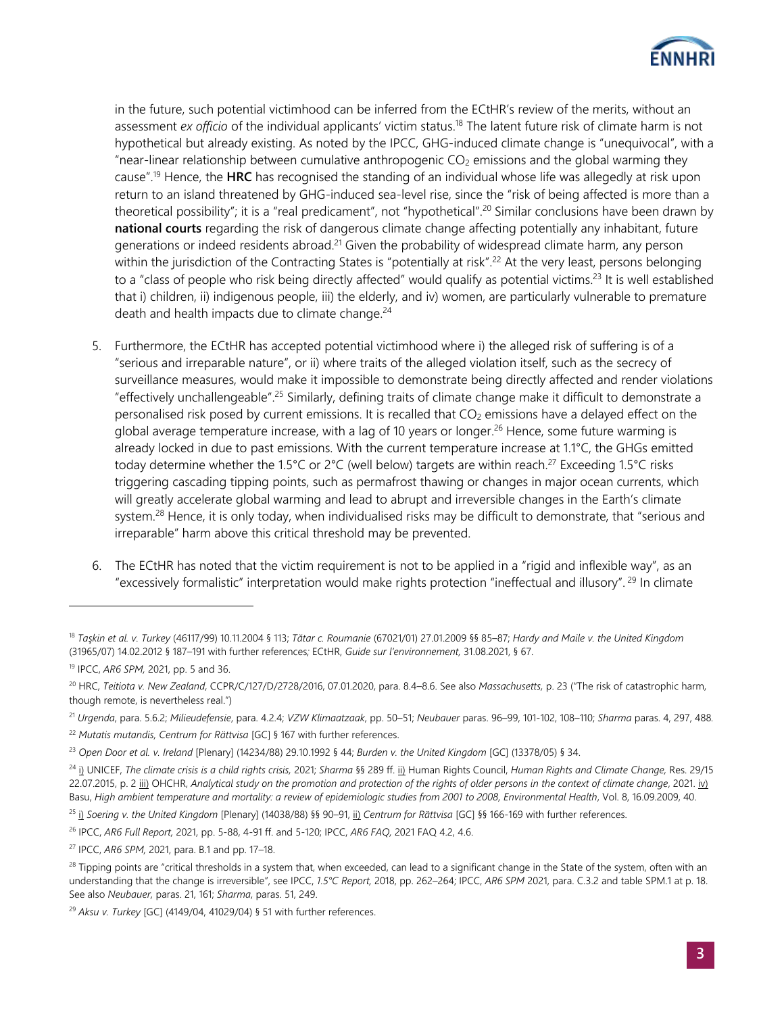

in the future, such potential victimhood can be inferred from the ECtHR's review of the merits, without an assessment *ex officio* of the individual applicants' victim status.<sup>18</sup> The latent future risk of climate harm is not hypothetical but already existing. As noted by the IPCC, GHG-induced climate change is "unequivocal", with a "near-linear relationship between cumulative anthropogenic  $CO<sub>2</sub>$  emissions and the global warming they cause".<sup>19</sup> Hence, the **HRC** has recognised the standing of an individual whose life was allegedly at risk upon return to an island threatened by GHG-induced sea-level rise, since the "risk of being affected is more than a theoretical possibility"; it is a "real predicament", not "hypothetical".<sup>20</sup> Similar conclusions have been drawn by **national courts** regarding the risk of dangerous climate change affecting potentially any inhabitant, future generations or indeed residents abroad.<sup>21</sup> Given the probability of widespread climate harm, any person within the jurisdiction of the Contracting States is "potentially at risk".<sup>22</sup> At the very least, persons belonging to a "class of people who risk being directly affected" would qualify as potential victims.<sup>23</sup> It is well established that i) children, ii) indigenous people, iii) the elderly, and iv) women, are particularly vulnerable to premature death and health impacts due to climate change.<sup>24</sup>

- 5. Furthermore, the ECtHR has accepted potential victimhood where i) the alleged risk of suffering is of a "serious and irreparable nature", or ii) where traits of the alleged violation itself, such as the secrecy of surveillance measures, would make it impossible to demonstrate being directly affected and render violations "effectively unchallengeable".<sup>25</sup> Similarly, defining traits of climate change make it difficult to demonstrate a personalised risk posed by current emissions. It is recalled that CO<sub>2</sub> emissions have a delayed effect on the global average temperature increase, with a lag of 10 years or longer.<sup>26</sup> Hence, some future warming is already locked in due to past emissions. With the current temperature increase at 1.1°C, the GHGs emitted today determine whether the 1.5°C or 2°C (well below) targets are within reach.<sup>27</sup> Exceeding 1.5°C risks triggering cascading tipping points, such as permafrost thawing or changes in major ocean currents, which will greatly accelerate global warming and lead to abrupt and irreversible changes in the Earth's climate system.<sup>28</sup> Hence, it is only today, when individualised risks may be difficult to demonstrate, that "serious and irreparable" harm above this critical threshold may be prevented.
- 6. The ECtHR has noted that the victim requirement is not to be applied in a "rigid and inflexible way", as an "excessively formalistic" interpretation would make rights protection "ineffectual and illusory". <sup>29</sup> In climate

<sup>18</sup> *Taşkin et al. v. Turkey* (46117/99) 10.11.2004 § 113; *Tătar c. Roumanie* (67021/01) 27.01.2009 §§ 85–87; *Hardy and Maile v. the United Kingdom*  (31965/07) 14.02.2012 § 187–191 with further references*;* ECtHR, *Guide sur l'environnement,* 31.08.2021, § 67.

<sup>19</sup> IPCC, *AR6 SPM,* 2021, pp. 5 and 36.

<sup>20</sup> HRC, *Teitiota v. New Zealand*, CCPR/C/127/D/2728/2016, 07.01.2020, para. 8.4–8.6. See also *Massachusetts,* p. 23 ("The risk of catastrophic harm, though remote, is nevertheless real.")

<sup>21</sup> *Urgenda*, para. 5.6.2; *Milieudefensie*, para. 4.2.4; *VZW Klimaatzaak*, pp. 50–51; *Neubauer* paras. 96–99, 101-102, 108–110; *Sharma* paras. 4, 297, 488*.*

<sup>22</sup> *Mutatis mutandis, Centrum for Rättvisa* [GC] § 167 with further references.

<sup>23</sup> *Open Door et al. v. Ireland* [Plenary] (14234/88) 29.10.1992 § 44; *Burden v. the United Kingdom* [GC] (13378/05) § 34.

<sup>24</sup> i) UNICEF, *The climate crisis is a child rights crisis,* 2021; *Sharma* §§ 289 ff. ii) Human Rights Council, *Human Rights and Climate Change,* Res. 29/15 22.07.2015, p. 2 iii) OHCHR, *Analytical study on the promotion and protection of the rights of older persons in the context of climate change, 2021. iv)* Basu, *High ambient temperature and mortality: a review of epidemiologic studies from 2001 to 2008, Environmental Health*, Vol. 8, 16.09.2009, 40.

<sup>25</sup> i) *Soering v. the United Kingdom* [Plenary] (14038/88) §§ 90–91, ii) *Centrum for Rättvisa* [GC] §§ 166-169 with further references.

<sup>26</sup> IPCC, *AR6 Full Report,* 2021, pp. 5-88, 4-91 ff. and 5-120; IPCC, *AR6 FAQ,* 2021 FAQ 4.2, 4.6.

<sup>27</sup> IPCC, *AR6 SPM,* 2021, para. B.1 and pp. 17–18.

<sup>&</sup>lt;sup>28</sup> Tipping points are "critical thresholds in a system that, when exceeded, can lead to a significant change in the State of the system, often with an understanding that the change is irreversible", see IPCC, *1.5°C Report,* 2018, pp. 262–264; IPCC, *AR6 SPM* 2021, para. C.3.2 and table SPM.1 at p. 18. See also *Neubauer,* paras. 21, 161; *Sharma*, paras. 51, 249.

<sup>29</sup> *Aksu v. Turkey* [GC] (4149/04, 41029/04) § 51 with further references.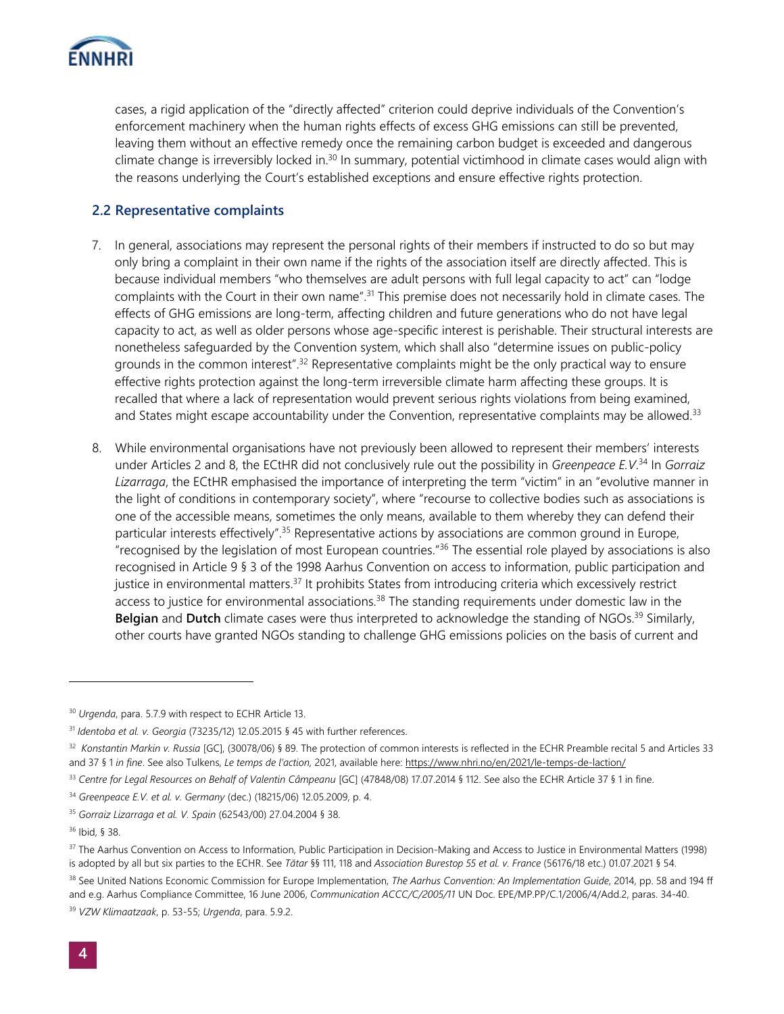

cases, a rigid application of the "directly affected" criterion could deprive individuals of the Convention's enforcement machinery when the human rights effects of excess GHG emissions can still be prevented, leaving them without an effective remedy once the remaining carbon budget is exceeded and dangerous climate change is irreversibly locked in.<sup>30</sup> In summary, potential victimhood in climate cases would align with the reasons underlying the Court's established exceptions and ensure effective rights protection.

#### **2.2 Representative complaints**

- 7. In general, associations may represent the personal rights of their members if instructed to do so but may only bring a complaint in their own name if the rights of the association itself are directly affected. This is because individual members "who themselves are adult persons with full legal capacity to act" can "lodge complaints with the Court in their own name".<sup>31</sup> This premise does not necessarily hold in climate cases. The effects of GHG emissions are long-term, affecting children and future generations who do not have legal capacity to act, as well as older persons whose age-specific interest is perishable. Their structural interests are nonetheless safeguarded by the Convention system, which shall also "determine issues on public-policy grounds in the common interest".<sup>32</sup> Representative complaints might be the only practical way to ensure effective rights protection against the long-term irreversible climate harm affecting these groups. It is recalled that where a lack of representation would prevent serious rights violations from being examined, and States might escape accountability under the Convention, representative complaints may be allowed.<sup>33</sup>
- 8. While environmental organisations have not previously been allowed to represent their members' interests under Articles 2 and 8, the ECtHR did not conclusively rule out the possibility in *Greenpeace E.V*. <sup>34</sup> In *Gorraiz Lizarraga*, the ECtHR emphasised the importance of interpreting the term "victim" in an "evolutive manner in the light of conditions in contemporary society", where "recourse to collective bodies such as associations is one of the accessible means, sometimes the only means, available to them whereby they can defend their particular interests effectively".<sup>35</sup> Representative actions by associations are common ground in Europe, "recognised by the legislation of most European countries."<sup>36</sup> The essential role played by associations is also recognised in Article 9 § 3 of the 1998 Aarhus Convention on access to information, public participation and justice in environmental matters.<sup>37</sup> It prohibits States from introducing criteria which excessively restrict access to justice for environmental associations.<sup>38</sup> The standing requirements under domestic law in the **Belgian** and **Dutch** climate cases were thus interpreted to acknowledge the standing of NGOs. <sup>39</sup> Similarly, other courts have granted NGOs standing to challenge GHG emissions policies on the basis of current and

<sup>30</sup> *Urgenda*, para. 5.7.9 with respect to ECHR Article 13.

<sup>31</sup> *Identoba et al. v. Georgia* (73235/12) 12.05.2015 § 45 with further references.

<sup>32</sup> *Konstantin Markin v. Russia* [GC], (30078/06) § 89. The protection of common interests is reflected in the ECHR Preamble recital 5 and Articles 33 and 37 § 1 *in fine*. See also Tulkens, *Le temps de l'action,* 2021, available here[: https://www.nhri.no/en/2021/le-temps-de-laction/](https://www.nhri.no/en/2021/le-temps-de-laction/)

<sup>33</sup> *Centre for Legal Resources on Behalf of Valentin Câmpeanu* [GC] (47848/08) 17.07.2014 § 112. See also the ECHR Article 37 § 1 in fine.

<sup>34</sup> *Greenpeace E.V. et al. v. Germany* (dec.) (18215/06) 12.05.2009, p. 4.

<sup>35</sup> *Gorraiz Lizarraga et al. V. Spain* (62543/00) 27.04.2004 § 38.

<sup>36</sup> Ibid, § 38.

<sup>&</sup>lt;sup>37</sup> The Aarhus Convention on Access to Information, Public Participation in Decision-Making and Access to Justice in Environmental Matters (1998) is adopted by all but six parties to the ECHR. See *Tătar* §§ 111, 118 and *Association Burestop 55 et al. v. France* (56176/18 etc.) 01.07.2021 § 54.

<sup>&</sup>lt;sup>38</sup> See United Nations Economic Commission for Europe Implementation, *The Aarhus Convention: An Implementation Guide*, 2014, pp. 58 and 194 ff and e.g. Aarhus Compliance Committee, 16 June 2006, *Communication ACCC/C/2005/11* UN Doc. EPE/MP.PP/C.1/2006/4/Add.2, paras. 34-40.

<sup>39</sup> *VZW Klimaatzaak*, p. 53-55; *Urgenda*, para. 5.9.2.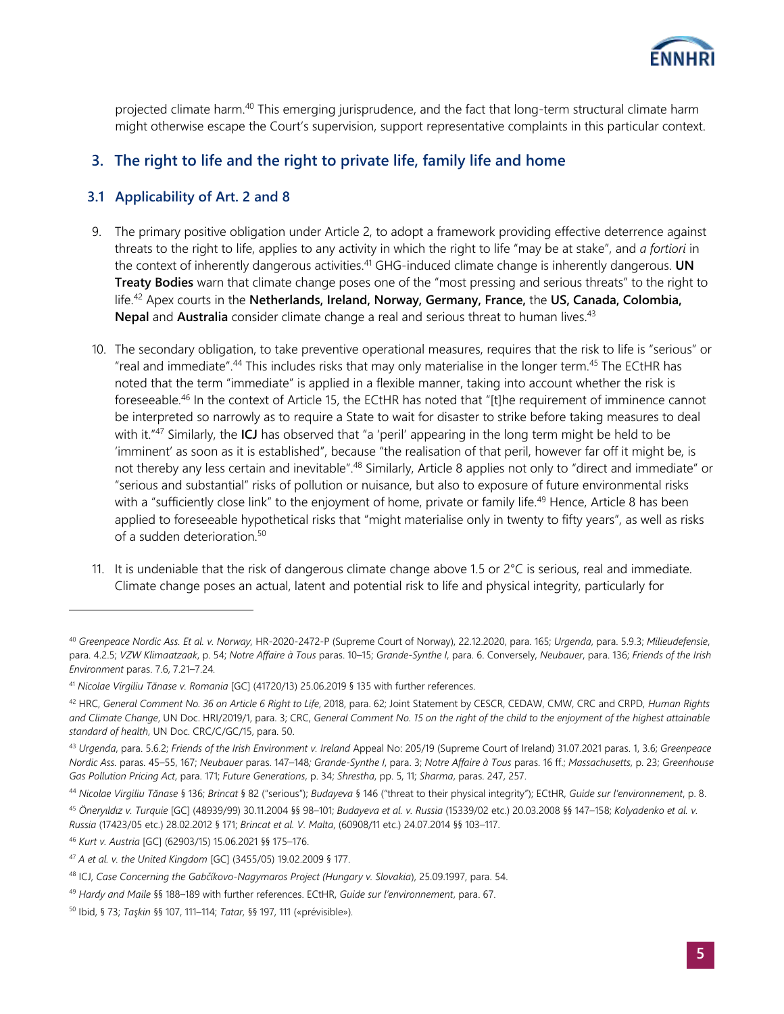

projected climate harm.<sup>40</sup> This emerging jurisprudence, and the fact that long-term structural climate harm might otherwise escape the Court's supervision, support representative complaints in this particular context.

## **3. The right to life and the right to private life, family life and home**

### **3.1 Applicability of Art. 2 and 8**

- 9. The primary positive obligation under Article 2, to adopt a framework providing effective deterrence against threats to the right to life, applies to any activity in which the right to life "may be at stake", and *a fortiori* in the context of inherently dangerous activities.<sup>41</sup> GHG-induced climate change is inherently dangerous. **UN Treaty Bodies** warn that climate change poses one of the "most pressing and serious threats" to the right to life.<sup>42</sup> Apex courts in the **Netherlands, Ireland, Norway, Germany, France,** the **US, Canada, Colombia,**  Nepal and Australia consider climate change a real and serious threat to human lives.<sup>43</sup>
- 10. The secondary obligation, to take preventive operational measures, requires that the risk to life is "serious" or "real and immediate".<sup>44</sup> This includes risks that may only materialise in the longer term.<sup>45</sup> The ECtHR has noted that the term "immediate" is applied in a flexible manner, taking into account whether the risk is foreseeable.<sup>46</sup> In the context of Article 15, the ECtHR has noted that "[t]he requirement of imminence cannot be interpreted so narrowly as to require a State to wait for disaster to strike before taking measures to deal with it."<sup>47</sup> Similarly, the **ICJ** has observed that "a 'peril' appearing in the long term might be held to be 'imminent' as soon as it is established", because "the realisation of that peril, however far off it might be, is not thereby any less certain and inevitable".<sup>48</sup> Similarly, Article 8 applies not only to "direct and immediate" or "serious and substantial" risks of pollution or nuisance, but also to exposure of future environmental risks with a "sufficiently close link" to the enjoyment of home, private or family life.<sup>49</sup> Hence, Article 8 has been applied to foreseeable hypothetical risks that "might materialise only in twenty to fifty years", as well as risks of a sudden deterioration.<sup>50</sup>
- 11. It is undeniable that the risk of dangerous climate change above 1.5 or  $2^{\circ}C$  is serious, real and immediate. Climate change poses an actual, latent and potential risk to life and physical integrity, particularly for

<sup>40</sup> *Greenpeace Nordic Ass. Et al. v. Norway,* HR-2020-2472-P (Supreme Court of Norway), 22.12.2020, para. 165; *Urgenda*, para. 5.9.3; *Milieudefensie*, para. 4.2.5; *VZW Klimaatzaak*, p. 54; *Notre Affaire à Tous* paras. 10–15; *Grande-Synthe I*, para. 6. Conversely, *Neubauer*, para. 136; *Friends of the Irish Environment* paras. 7.6, 7.21–7.24*.* 

<sup>41</sup> *Nicolae Virgiliu Tănase v. Romania* [GC] (41720/13) 25.06.2019 § 135 with further references.

<sup>42</sup> HRC, *General Comment No. 36 on Article 6 Right to Life*, 2018, para. 62; Joint Statement by CESCR, CEDAW, CMW, CRC and CRPD, *Human Rights and Climate Change*, UN Doc. HRI/2019/1, para. 3; CRC, *General Comment No. 15 on the right of the child to the enjoyment of the highest attainable standard of health*, UN Doc. CRC/C/GC/15, para. 50.

<sup>43</sup> *Urgenda*, para. 5.6.2; *Friends of the Irish Environment v. Ireland* Appeal No: 205/19 (Supreme Court of Ireland) 31.07.2021 paras. 1, 3.6; *Greenpeace Nordic Ass.* paras. 45–55, 167; *Neubauer* paras. 147–148*; Grande-Synthe I*, para. 3; *Notre Affaire à Tous* paras. 16 ff.; *Massachusetts*, p. 23; *Greenhouse Gas Pollution Pricing Act*, para. 171; *Future Generations*, p. 34; *Shrestha*, pp. 5, 11; *Sharma*, paras. 247, 257.

<sup>44</sup> *Nicolae Virgiliu Tănase* § 136; *Brincat* § 82 ("serious"); *Budayeva* § 146 ("threat to their physical integrity"); ECtHR, *Guide sur l'environnement*, p. 8.

<sup>45</sup> *Öneryıldız v. Turquie* [GC] (48939/99) 30.11.2004 §§ 98–101; *Budayeva et al. v. Russia* (15339/02 etc.) 20.03.2008 §§ 147–158; *Kolyadenko et al. v. Russia* (17423/05 etc.) 28.02.2012 § 171; *Brincat et al. V. Malta*, (60908/11 etc.) 24.07.2014 §§ 103–117.

<sup>46</sup> *Kurt v. Austria* [GC] (62903/15) 15.06.2021 §§ 175–176.

<sup>47</sup> *A et al. v. the United Kingdom* [GC] (3455/05) 19.02.2009 § 177.

<sup>48</sup> ICJ, *Case Concerning the Gabčíkovo-Nagymaros Project (Hungary v. Slovakia*), 25.09.1997, para. 54.

<sup>49</sup> *Hardy and Maile* §§ 188–189 with further references. ECtHR, *Guide sur l'environnement*, para. 67.

<sup>50</sup> Ibid, § 73; *Taşkin* §§ 107, 111–114; *Tatar,* §§ 197, 111 («prévisible»)*.*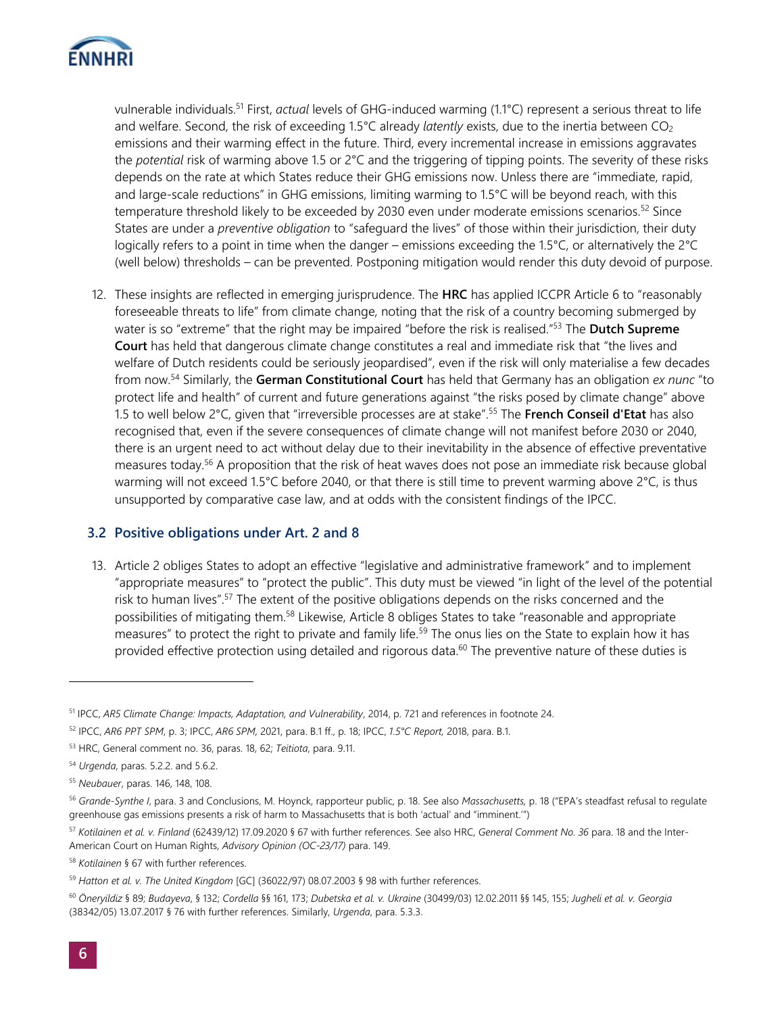

vulnerable individuals.<sup>51</sup> First, *actual* levels of GHG-induced warming (1.1°C) represent a serious threat to life and welfare. Second, the risk of exceeding 1.5°C already *latently* exists, due to the inertia between CO<sub>2</sub> emissions and their warming effect in the future. Third, every incremental increase in emissions aggravates the *potential* risk of warming above 1.5 or 2°C and the triggering of tipping points. The severity of these risks depends on the rate at which States reduce their GHG emissions now. Unless there are "immediate, rapid, and large-scale reductions" in GHG emissions, limiting warming to 1.5°C will be beyond reach, with this temperature threshold likely to be exceeded by 2030 even under moderate emissions scenarios.<sup>52</sup> Since States are under a *preventive obligation* to "safeguard the lives" of those within their jurisdiction, their duty logically refers to a point in time when the danger – emissions exceeding the 1.5°C, or alternatively the 2°C (well below) thresholds – can be prevented. Postponing mitigation would render this duty devoid of purpose.

12. These insights are reflected in emerging jurisprudence. The **HRC** has applied ICCPR Article 6 to "reasonably foreseeable threats to life" from climate change, noting that the risk of a country becoming submerged by water is so "extreme" that the right may be impaired "before the risk is realised."<sup>53</sup> The **Dutch Supreme Court** has held that dangerous climate change constitutes a real and immediate risk that "the lives and welfare of Dutch residents could be seriously jeopardised", even if the risk will only materialise a few decades from now. <sup>54</sup> Similarly, the **German Constitutional Court** has held that Germany has an obligation *ex nunc* "to protect life and health" of current and future generations against "the risks posed by climate change" above 1.5 to well below 2°C, given that "irreversible processes are at stake". <sup>55</sup> The **French Conseil d'Etat** has also recognised that, even if the severe consequences of climate change will not manifest before 2030 or 2040, there is an urgent need to act without delay due to their inevitability in the absence of effective preventative measures today.<sup>56</sup> A proposition that the risk of heat waves does not pose an immediate risk because global warming will not exceed 1.5°C before 2040, or that there is still time to prevent warming above 2°C, is thus unsupported by comparative case law, and at odds with the consistent findings of the IPCC.

#### **3.2 Positive obligations under Art. 2 and 8**

13. Article 2 obliges States to adopt an effective "legislative and administrative framework" and to implement "appropriate measures" to "protect the public". This duty must be viewed "in light of the level of the potential risk to human lives".<sup>57</sup> The extent of the positive obligations depends on the risks concerned and the possibilities of mitigating them.<sup>58</sup> Likewise, Article 8 obliges States to take "reasonable and appropriate measures" to protect the right to private and family life.<sup>59</sup> The onus lies on the State to explain how it has provided effective protection using detailed and rigorous data.<sup>60</sup> The preventive nature of these duties is

<sup>51</sup> IPCC, *AR5 Climate Change: Impacts, Adaptation, and Vulnerability*, 2014, p. 721 and references in footnote 24.

<sup>52</sup> IPCC, *AR6 PPT SPM*, p. 3; IPCC, *AR6 SPM,* 2021, para. B.1 ff., p. 18; IPCC, *1.5°C Report,* 2018, para. B.1.

<sup>53</sup> HRC, General comment no. 36, paras. 18, 62; *Teitiota*, para. 9.11.

<sup>54</sup> *Urgenda*, paras. 5.2.2. and 5.6.2.

<sup>55</sup> *Neubauer*, paras. 146, 148, 108.

<sup>56</sup> *Grande-Synthe I*, para. 3 and Conclusions, M. Hoynck, rapporteur public, p. 18. See also *Massachusetts,* p. 18 ("EPA's steadfast refusal to regulate greenhouse gas emissions presents a risk of harm to Massachusetts that is both 'actual' and "imminent.'")

<sup>57</sup> *Kotilainen et al. v. Finland* (62439/12) 17.09.2020 § 67 with further references. See also HRC, *General Comment No. 36* para. 18 and the Inter-

American Court on Human Rights, *Advisory Opinion (OC-23/17)* para. 149.

<sup>58</sup> *Kotilainen* § 67 with further references.

<sup>59</sup> *Hatton et al. v. The United Kingdom* [GC] (36022/97) 08.07.2003 § 98 with further references.

<sup>60</sup> *Öneryildiz* § 89; *Budayeva*, § 132; *Cordella* §§ 161, 173; *Dubetska et al. v. Ukraine* (30499/03) 12.02.2011 §§ 145, 155; *Jugheli et al. v. Georgia* (38342/05) 13.07.2017 § 76 with further references. Similarly, *Urgenda*, para. 5.3.3.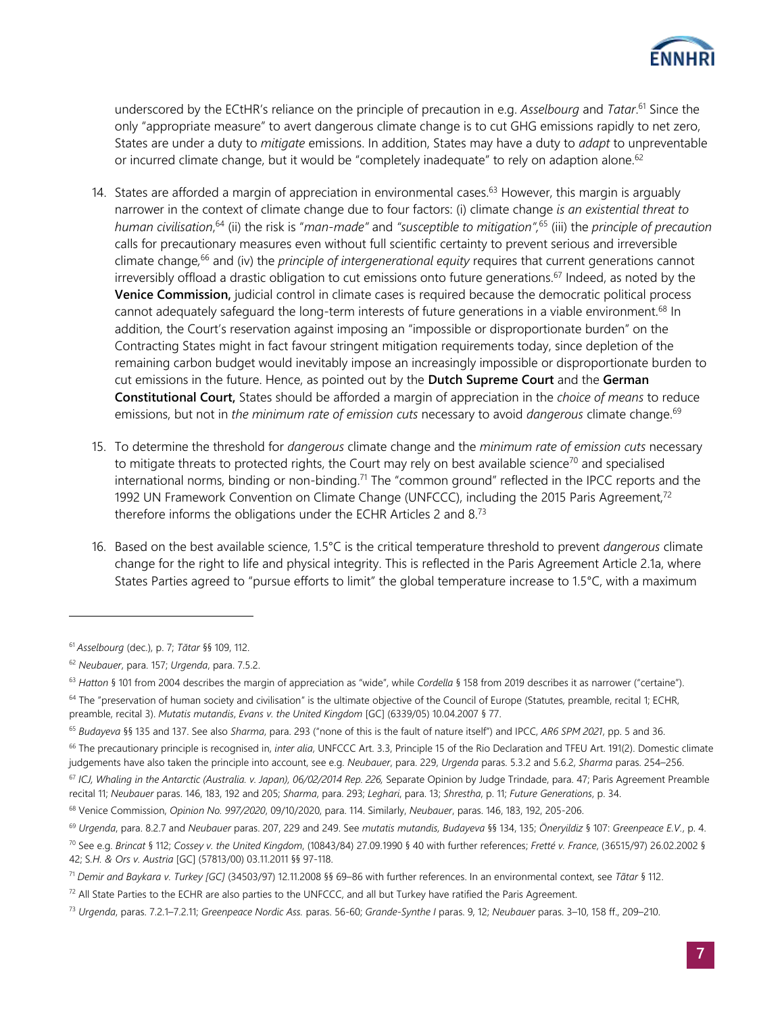

underscored by the ECtHR's reliance on the principle of precaution in e.g. *Asselbourg* and *Tatar*. <sup>61</sup> Since the only "appropriate measure" to avert dangerous climate change is to cut GHG emissions rapidly to net zero, States are under a duty to *mitigate* emissions. In addition, States may have a duty to *adapt* to unpreventable or incurred climate change, but it would be "completely inadequate" to rely on adaption alone.<sup>62</sup>

- 14. States are afforded a margin of appreciation in environmental cases.<sup>63</sup> However, this margin is arguably narrower in the context of climate change due to four factors: (i) climate change *is an existential threat to human civilisation*, <sup>64</sup> (ii) the risk is "*man-made"* and *"susceptible to mitigation",*<sup>65</sup> (iii) the *principle of precaution* calls for precautionary measures even without full scientific certainty to prevent serious and irreversible climate change*,* <sup>66</sup> and (iv) the *principle of intergenerational equity* requires that current generations cannot irreversibly offload a drastic obligation to cut emissions onto future generations.<sup>67</sup> Indeed, as noted by the **Venice Commission,** judicial control in climate cases is required because the democratic political process cannot adequately safequard the long-term interests of future generations in a viable environment.<sup>68</sup> In addition, the Court's reservation against imposing an "impossible or disproportionate burden" on the Contracting States might in fact favour stringent mitigation requirements today, since depletion of the remaining carbon budget would inevitably impose an increasingly impossible or disproportionate burden to cut emissions in the future. Hence, as pointed out by the **Dutch Supreme Court** and the **German Constitutional Court,** States should be afforded a margin of appreciation in the *choice of means* to reduce emissions, but not in *the minimum rate of emission cuts* necessary to avoid *dangerous* climate change.<sup>69</sup>
- 15. To determine the threshold for *dangerous* climate change and the *minimum rate of emission cuts* necessary to mitigate threats to protected rights, the Court may rely on best available science<sup>70</sup> and specialised international norms, binding or non-binding.<sup>71</sup> The "common ground" reflected in the IPCC reports and the 1992 UN Framework Convention on Climate Change (UNFCCC), including the 2015 Paris Agreement,<sup>72</sup> therefore informs the obligations under the ECHR Articles 2 and 8.<sup>73</sup>
- 16. Based on the best available science, 1.5°C is the critical temperature threshold to prevent *dangerous* climate change for the right to life and physical integrity. This is reflected in the Paris Agreement Article 2.1a, where States Parties agreed to "pursue efforts to limit" the global temperature increase to 1.5°C, with a maximum

<sup>61</sup> *Asselbourg* (dec.), p. 7; *Tătar* §§ 109, 112.

<sup>62</sup> *Neubauer*, para. 157; *Urgenda*, para. 7.5.2.

<sup>63</sup> *Hatton* § 101 from 2004 describes the margin of appreciation as "wide", while *Cordella* § 158 from 2019 describes it as narrower ("certaine").

<sup>&</sup>lt;sup>64</sup> The "preservation of human society and civilisation" is the ultimate objective of the Council of Europe (Statutes, preamble, recital 1; ECHR, preamble, recital 3). *Mutatis mutandis*, *Evans v. the United Kingdom* [GC] (6339/05) 10.04.2007 § 77.

<sup>65</sup> *Budayeva* §§ 135 and 137. See also *Sharma*, para. 293 ("none of this is the fault of nature itself") and IPCC, *AR6 SPM 2021*, pp. 5 and 36.

<sup>66</sup> The precautionary principle is recognised in, *inter alia*, UNFCCC Art. 3.3, Principle 15 of the Rio Declaration and TFEU Art. 191(2). Domestic climate judgements have also taken the principle into account, see e.g. *Neubauer*, para. 229, *Urgenda* paras. 5.3.2 and 5.6.2, *Sharma* paras. 254–256.

<sup>&</sup>lt;sup>67</sup> ICJ, Whaling in the Antarctic (Australia. v. Japan), 06/02/2014 Rep. 226, Separate Opinion by Judge Trindade, para. 47; Paris Agreement Preamble recital 11; *Neubauer* paras. 146, 183, 192 and 205; *Sharma*, para. 293; *Leghari*, para. 13; *Shrestha*, p. 11; *Future Generations*, p. 34.

<sup>68</sup> Venice Commission, *Opinion No. 997/2020*, 09/10/2020, para. 114. Similarly, *Neubauer*, paras. 146, 183, 192, 205-206.

<sup>69</sup> *Urgenda*, para. 8.2.7 and *Neubauer* paras. 207, 229 and 249. See *mutatis mutandis, Budayeva* §§ 134, 135; *Öneryildiz* § 107: *Greenpeace E.V.*, p. 4.

<sup>70</sup> See e.g. *Brincat* § 112; *Cossey v. the United Kingdom*, (10843/84) 27.09.1990 § 40 with further references; *Fretté v. France*, (36515/97) 26.02.2002 § 42; S*.H. & Ors v. Austria* [GC] (57813/00) 03.11.2011 §§ 97-118.

<sup>71</sup> *Demir and Baykara v. Turkey [GC]* (34503/97) 12.11.2008 §§ 69–86 with further references. In an environmental context, see *Tãtar* § 112.

 $72$  All State Parties to the ECHR are also parties to the UNFCCC, and all but Turkey have ratified the Paris Agreement.

<sup>73</sup> *Urgenda*, paras. 7.2.1–7.2.11; *Greenpeace Nordic Ass.* paras. 56-60; *Grande-Synthe I* paras. 9, 12; *Neubauer* paras. 3–10, 158 ff., 209–210.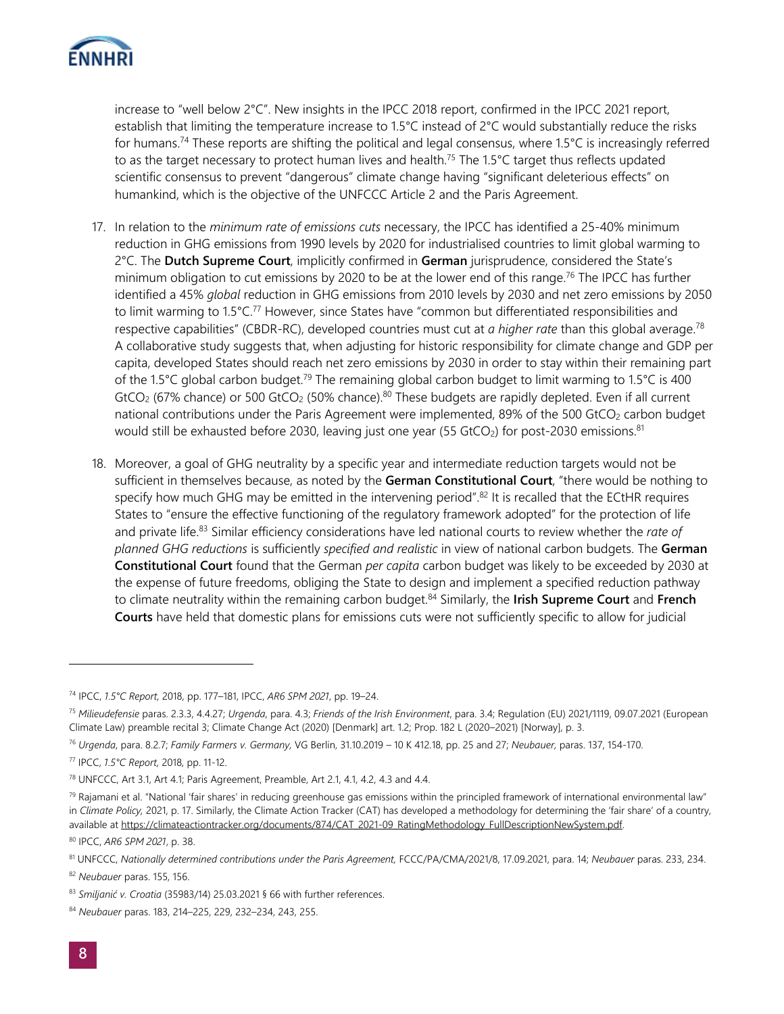

increase to "well below 2°C". New insights in the IPCC 2018 report, confirmed in the IPCC 2021 report, establish that limiting the temperature increase to 1.5°C instead of 2°C would substantially reduce the risks for humans.<sup>74</sup> These reports are shifting the political and legal consensus, where 1.5 $^{\circ}$ C is increasingly referred to as the target necessary to protect human lives and health.<sup>75</sup> The 1.5 $\degree$ C target thus reflects updated scientific consensus to prevent "dangerous" climate change having "significant deleterious effects" on humankind, which is the objective of the UNFCCC Article 2 and the Paris Agreement.

- 17. In relation to the *minimum rate of emissions cuts* necessary, the IPCC has identified a 25-40% minimum reduction in GHG emissions from 1990 levels by 2020 for industrialised countries to limit global warming to 2°C. The **Dutch Supreme Court**, implicitly confirmed in **German** jurisprudence, considered the State's minimum obligation to cut emissions by 2020 to be at the lower end of this range.<sup>76</sup> The IPCC has further identified a 45% *global* reduction in GHG emissions from 2010 levels by 2030 and net zero emissions by 2050 to limit warming to  $1.5^{\circ}$ C.<sup>77</sup> However, since States have "common but differentiated responsibilities and respective capabilities" (CBDR-RC), developed countries must cut at *a higher rate* than this global average.<sup>78</sup> A collaborative study suggests that, when adjusting for historic responsibility for climate change and GDP per capita, developed States should reach net zero emissions by 2030 in order to stay within their remaining part of the 1.5°C global carbon budget.<sup>79</sup> The remaining global carbon budget to limit warming to 1.5°C is 400 GtCO<sub>2</sub> (67% chance) or 500 GtCO<sub>2</sub> (50% chance).<sup>80</sup> These budgets are rapidly depleted. Even if all current national contributions under the Paris Agreement were implemented, 89% of the 500 GtCO<sub>2</sub> carbon budget would still be exhausted before 2030, leaving just one year (55 GtCO<sub>2</sub>) for post-2030 emissions.<sup>81</sup>
- 18. Moreover, a goal of GHG neutrality by a specific year and intermediate reduction targets would not be sufficient in themselves because, as noted by the **German Constitutional Court**, "there would be nothing to specify how much GHG may be emitted in the intervening period".<sup>82</sup> It is recalled that the ECtHR requires States to "ensure the effective functioning of the regulatory framework adopted" for the protection of life and private life.<sup>83</sup> Similar efficiency considerations have led national courts to review whether the *rate of planned GHG reductions* is sufficiently *specified and realistic* in view of national carbon budgets. The **German Constitutional Court** found that the German *per capita* carbon budget was likely to be exceeded by 2030 at the expense of future freedoms, obliging the State to design and implement a specified reduction pathway to climate neutrality within the remaining carbon budget.<sup>84</sup> Similarly, the **Irish Supreme Court** and **French Courts** have held that domestic plans for emissions cuts were not sufficiently specific to allow for judicial

<sup>80</sup> IPCC, *AR6 SPM 2021*, p. 38.

<sup>74</sup> IPCC, *1.5°C Report,* 2018, pp. 177–181, IPCC, *AR6 SPM 2021*, pp. 19–24.

<sup>75</sup> *Milieudefensie* paras. 2.3.3, 4.4.27; *Urgenda*, para. 4.3; *Friends of the Irish Environment*, para. 3.4; Regulation (EU) 2021/1119, 09.07.2021 (European Climate Law) preamble recital 3; Climate Change Act (2020) [Denmark] art. 1.2; Prop. 182 L (2020–2021) [Norway], p. 3.

<sup>76</sup> *Urgenda*, para. 8.2.7; *Family Farmers v. Germany,* VG Berlin, 31.10.2019 – 10 K 412.18, pp. 25 and 27; *Neubauer,* paras. 137, 154-170.

<sup>77</sup> IPCC, *1.5°C Report,* 2018, pp. 11-12.

<sup>78</sup> UNFCCC, Art 3.1, Art 4.1; Paris Agreement, Preamble, Art 2.1, 4.1, 4.2, 4.3 and 4.4.

 $79$  Rajamani et al. "National 'fair shares' in reducing greenhouse gas emissions within the principled framework of international environmental law" in *Climate Policy,* 2021, p. 17. Similarly, the Climate Action Tracker (CAT) has developed a methodology for determining the 'fair share' of a country, available at https://climateactiontracker.org/documents/874/CAT\_2021-09\_RatingMethodology\_FullDescriptionNewSystem.pdf.

<sup>81</sup> UNFCCC, *Nationally determined contributions under the Paris Agreement,* FCCC/PA/CMA/2021/8, 17.09.2021, para. 14; *Neubauer* paras. 233, 234.

<sup>82</sup> *Neubauer* paras. 155, 156.

<sup>83</sup> *Smiljanić v. Croatia* (35983/14) 25.03.2021 § 66 with further references.

<sup>84</sup> *Neubauer* paras. 183, 214–225, 229, 232–234, 243, 255.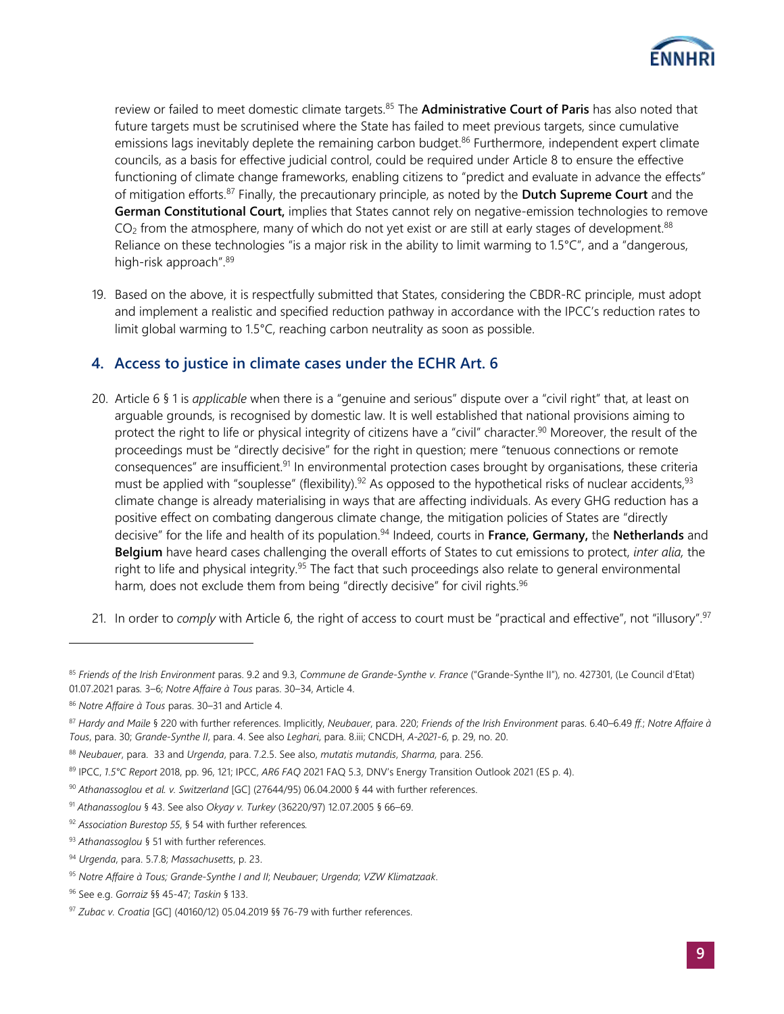

review or failed to meet domestic climate targets.<sup>85</sup> The **Administrative Court of Paris** has also noted that future targets must be scrutinised where the State has failed to meet previous targets, since cumulative emissions lags inevitably deplete the remaining carbon budget.<sup>86</sup> Furthermore, independent expert climate councils, as a basis for effective judicial control, could be required under Article 8 to ensure the effective functioning of climate change frameworks, enabling citizens to "predict and evaluate in advance the effects" of mitigation efforts. <sup>87</sup> Finally, the precautionary principle, as noted by the **Dutch Supreme Court** and the **German Constitutional Court,** implies that States cannot rely on negative-emission technologies to remove  $CO<sub>2</sub>$  from the atmosphere, many of which do not yet exist or are still at early stages of development.<sup>88</sup> Reliance on these technologies "is a major risk in the ability to limit warming to 1.5°C", and a "dangerous, high-risk approach".<sup>89</sup>

19. Based on the above, it is respectfully submitted that States, considering the CBDR-RC principle, must adopt and implement a realistic and specified reduction pathway in accordance with the IPCC's reduction rates to limit global warming to 1.5°C, reaching carbon neutrality as soon as possible.

## **4. Access to justice in climate cases under the ECHR Art. 6**

- 20. Article 6 § 1 is *applicable* when there is a "genuine and serious" dispute over a "civil right" that, at least on arguable grounds, is recognised by domestic law. It is well established that national provisions aiming to protect the right to life or physical integrity of citizens have a "civil" character.<sup>90</sup> Moreover, the result of the proceedings must be "directly decisive" for the right in question; mere "tenuous connections or remote consequences" are insufficient.<sup>91</sup> In environmental protection cases brought by organisations, these criteria must be applied with "souplesse" (flexibility).<sup>92</sup> As opposed to the hypothetical risks of nuclear accidents,<sup>93</sup> climate change is already materialising in ways that are affecting individuals. As every GHG reduction has a positive effect on combating dangerous climate change, the mitigation policies of States are "directly decisive" for the life and health of its population.<sup>94</sup> Indeed, courts in France, Germany, the Netherlands and **Belgium** have heard cases challenging the overall efforts of States to cut emissions to protect, *inter alia,* the right to life and physical integrity.<sup>95</sup> The fact that such proceedings also relate to general environmental harm, does not exclude them from being "directly decisive" for civil rights.<sup>96</sup>
- 21. In order to *comply* with Article 6, the right of access to court must be "practical and effective", not "illusory".<sup>97</sup>

<sup>85</sup> *Friends of the Irish Environment* paras. 9.2 and 9.3, *Commune de Grande-Synthe v. France* ("Grande-Synthe II")*,* no. 427301, (Le Council d'Etat) 01.07.2021 paras*.* 3–6; *Notre Affaire à Tous* paras. 30–34, Article 4.

<sup>86</sup> *Notre Affaire à Tous* paras. 30–31 and Article 4.

<sup>87</sup> *Hardy and Maile* § 220 with further references. Implicitly, *Neubauer*, para. 220; *Friends of the Irish Environment* paras. 6.40–6.49 *ff.*; *Notre Affaire à Tous*, para. 30; *Grande-Synthe II*, para. 4. See also *Leghari*, para. 8.iii; CNCDH, *A-2021-6*, p. 29, no. 20.

<sup>88</sup> *Neubauer*, para. 33 and *Urgenda*, para. 7.2.5. See also, *mutatis mutandis*, *Sharma,* para. 256.

<sup>89</sup> IPCC, *1.5°C Report* 2018, pp. 96, 121; IPCC, *AR6 FAQ* 2021 FAQ 5.3, DNV's Energy Transition Outlook 2021 (ES p. 4).

<sup>90</sup> *Athanassoglou et al. v. Switzerland* [GC] (27644/95) 06.04.2000 § 44 with further references.

<sup>91</sup> *Athanassoglou* § 43. See also *Okyay v. Turkey* (36220/97) 12.07.2005 § 66–69.

<sup>92</sup> *Association Burestop 55*, § 54 with further references*.*

<sup>93</sup> *Athanassoglou* § 51 with further references.

<sup>94</sup> *Urgenda*, para. 5.7.8; *Massachusetts*, p. 23.

<sup>95</sup> *Notre Affaire à Tous; Grande-Synthe I and II*; *Neubauer*; *Urgenda*; *VZW Klimatzaak*.

<sup>96</sup> See e.g. *Gorraiz* §§ 45-47; *Taskin* § 133.

<sup>97</sup> *Zubac v. Croatia* [GC] (40160/12) 05.04.2019 §§ 76-79 with further references.